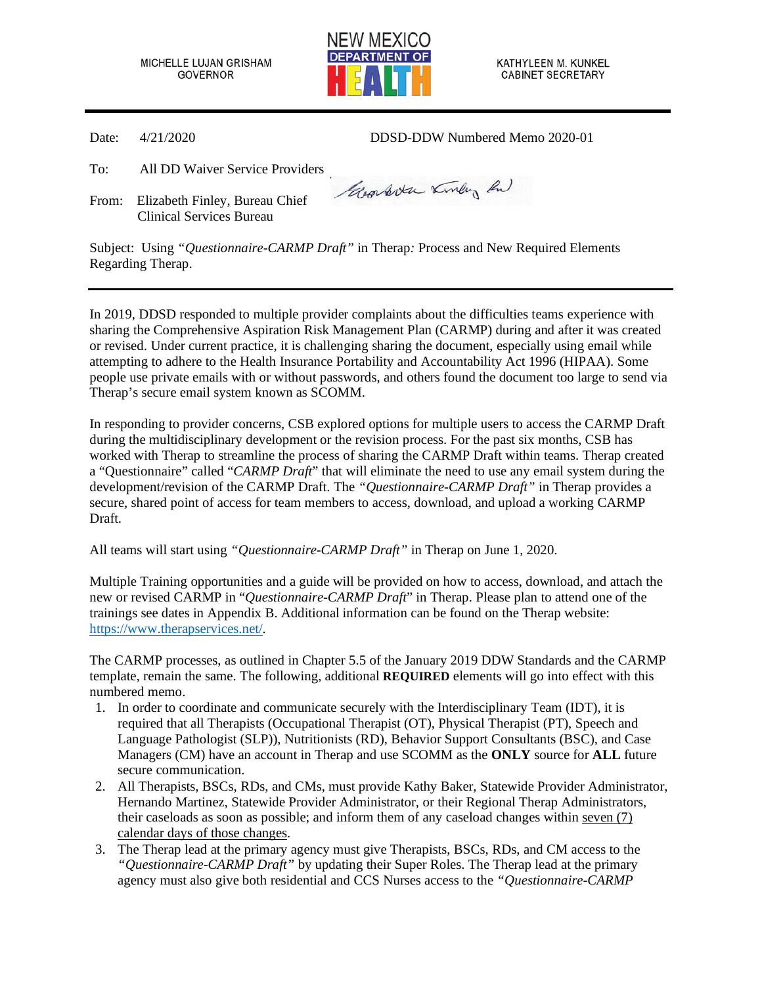MICHELLE LUJAN GRISHAM **GOVERNOR** 



KATHYLEEN M. KUNKEL **CABINET SECRETARY** 

Date: 4/21/2020 DDSD-DDW Numbered Memo 2020-01

To: All DD Waiver Service Providers

From: Elizabeth Finley, Bureau Chief Clinical Services Bureau

Georgette Kindy Ru

Subject: Using *"Questionnaire-CARMP Draft"* in Therap*:* Process and New Required Elements Regarding Therap.

In 2019, DDSD responded to multiple provider complaints about the difficulties teams experience with sharing the Comprehensive Aspiration Risk Management Plan (CARMP) during and after it was created or revised. Under current practice, it is challenging sharing the document, especially using email while attempting to adhere to the Health Insurance Portability and Accountability Act 1996 (HIPAA). Some people use private emails with or without passwords, and others found the document too large to send via Therap's secure email system known as SCOMM.

In responding to provider concerns, CSB explored options for multiple users to access the CARMP Draft during the multidisciplinary development or the revision process. For the past six months, CSB has worked with Therap to streamline the process of sharing the CARMP Draft within teams. Therap created a "Questionnaire" called "*CARMP Draft*" that will eliminate the need to use any email system during the development/revision of the CARMP Draft. The *"Questionnaire-CARMP Draft"* in Therap provides a secure, shared point of access for team members to access, download, and upload a working CARMP Draft.

All teams will start using *"Questionnaire-CARMP Draft"* in Therap on June 1, 2020.

Multiple Training opportunities and a guide will be provided on how to access, download, and attach the new or revised CARMP in "*Questionnaire-CARMP Draft*" in Therap. Please plan to attend one of the trainings see dates in Appendix B. Additional information can be found on the Therap website: [https://www.therapservices.net/.](https://www.therapservices.net/) 

The CARMP processes, as outlined in Chapter 5.5 of the January 2019 DDW Standards and the CARMP template, remain the same. The following, additional **REQUIRED** elements will go into effect with this numbered memo.

- 1. In order to coordinate and communicate securely with the Interdisciplinary Team (IDT), it is required that all Therapists (Occupational Therapist (OT), Physical Therapist (PT), Speech and Language Pathologist (SLP)), Nutritionists (RD), Behavior Support Consultants (BSC), and Case Managers (CM) have an account in Therap and use SCOMM as the **ONLY** source for **ALL** future secure communication.
- 2. All Therapists, BSCs, RDs, and CMs, must provide Kathy Baker, Statewide Provider Administrator, Hernando Martinez, Statewide Provider Administrator, or their Regional Therap Administrators, their caseloads as soon as possible; and inform them of any caseload changes within seven (7) calendar days of those changes.
- 3. The Therap lead at the primary agency must give Therapists, BSCs, RDs, and CM access to the *"Questionnaire-CARMP Draft"* by updating their Super Roles. The Therap lead at the primary agency must also give both residential and CCS Nurses access to the *"Questionnaire-CARMP*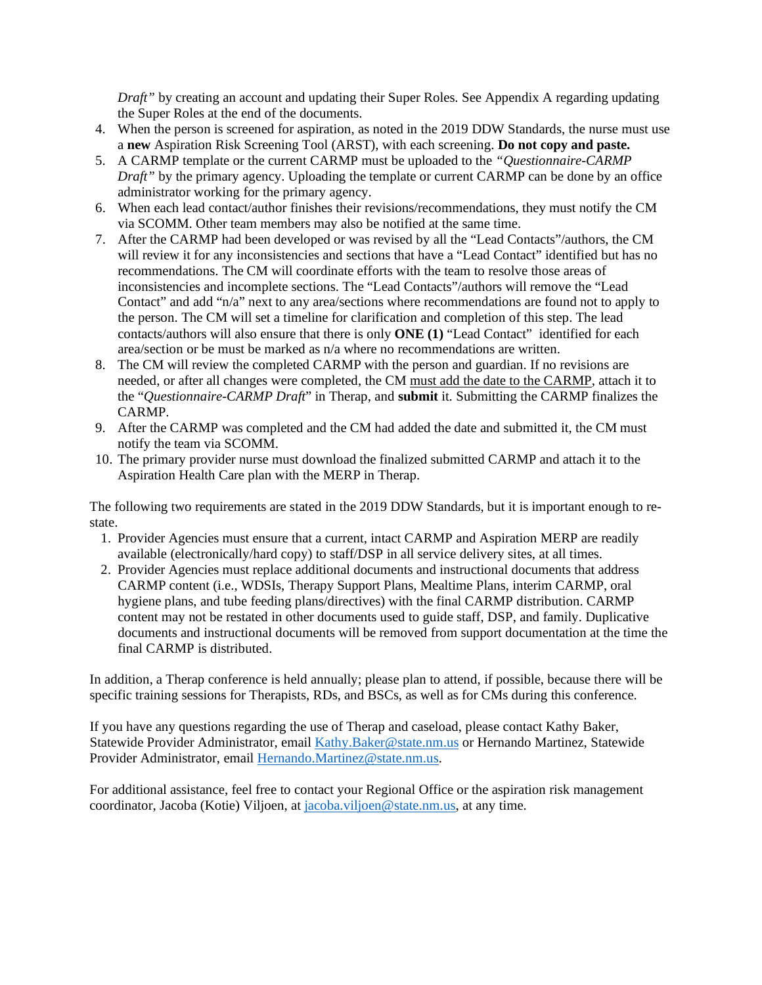*Draft"* by creating an account and updating their Super Roles. See Appendix A regarding updating the Super Roles at the end of the documents.

- 4. When the person is screened for aspiration, as noted in the 2019 DDW Standards, the nurse must use a **new** Aspiration Risk Screening Tool (ARST), with each screening. **Do not copy and paste.**
- 5. A CARMP template or the current CARMP must be uploaded to the *"Questionnaire-CARMP Draft"* by the primary agency. Uploading the template or current CARMP can be done by an office administrator working for the primary agency.
- 6. When each lead contact/author finishes their revisions/recommendations, they must notify the CM via SCOMM. Other team members may also be notified at the same time.
- 7. After the CARMP had been developed or was revised by all the "Lead Contacts"/authors, the CM will review it for any inconsistencies and sections that have a "Lead Contact" identified but has no recommendations. The CM will coordinate efforts with the team to resolve those areas of inconsistencies and incomplete sections. The "Lead Contacts"/authors will remove the "Lead Contact" and add "n/a" next to any area/sections where recommendations are found not to apply to the person. The CM will set a timeline for clarification and completion of this step. The lead contacts/authors will also ensure that there is only **ONE (1)** "Lead Contact" identified for each area/section or be must be marked as n/a where no recommendations are written.
- 8. The CM will review the completed CARMP with the person and guardian. If no revisions are needed, or after all changes were completed, the CM must add the date to the CARMP, attach it to the "*Questionnaire-CARMP Draft*" in Therap, and **submit** it. Submitting the CARMP finalizes the CARMP.
- 9. After the CARMP was completed and the CM had added the date and submitted it, the CM must notify the team via SCOMM.
- 10. The primary provider nurse must download the finalized submitted CARMP and attach it to the Aspiration Health Care plan with the MERP in Therap.

The following two requirements are stated in the 2019 DDW Standards, but it is important enough to restate.

- 1. Provider Agencies must ensure that a current, intact CARMP and Aspiration MERP are readily available (electronically/hard copy) to staff/DSP in all service delivery sites, at all times.
- 2. Provider Agencies must replace additional documents and instructional documents that address CARMP content (i.e., WDSIs, Therapy Support Plans, Mealtime Plans, interim CARMP, oral hygiene plans, and tube feeding plans/directives) with the final CARMP distribution. CARMP content may not be restated in other documents used to guide staff, DSP, and family. Duplicative documents and instructional documents will be removed from support documentation at the time the final CARMP is distributed.

In addition, a Therap conference is held annually; please plan to attend, if possible, because there will be specific training sessions for Therapists, RDs, and BSCs, as well as for CMs during this conference.

If you have any questions regarding the use of Therap and caseload, please contact Kathy Baker, Statewide Provider Administrator, email [Kathy.Baker@state.nm.us](mailto:Kathy.Baker@state.nm.us) or Hernando Martinez, Statewide Provider Administrator, email [Hernando.Martinez@state.nm.us.](mailto:Hernando.Martinez@state.nm.us)

For additional assistance, feel free to contact your Regional Office or the aspiration risk management coordinator, Jacoba (Kotie) Viljoen, at [jacoba.viljoen@state.nm.us,](mailto:jacoba.viljoen@state.nm.us) at any time.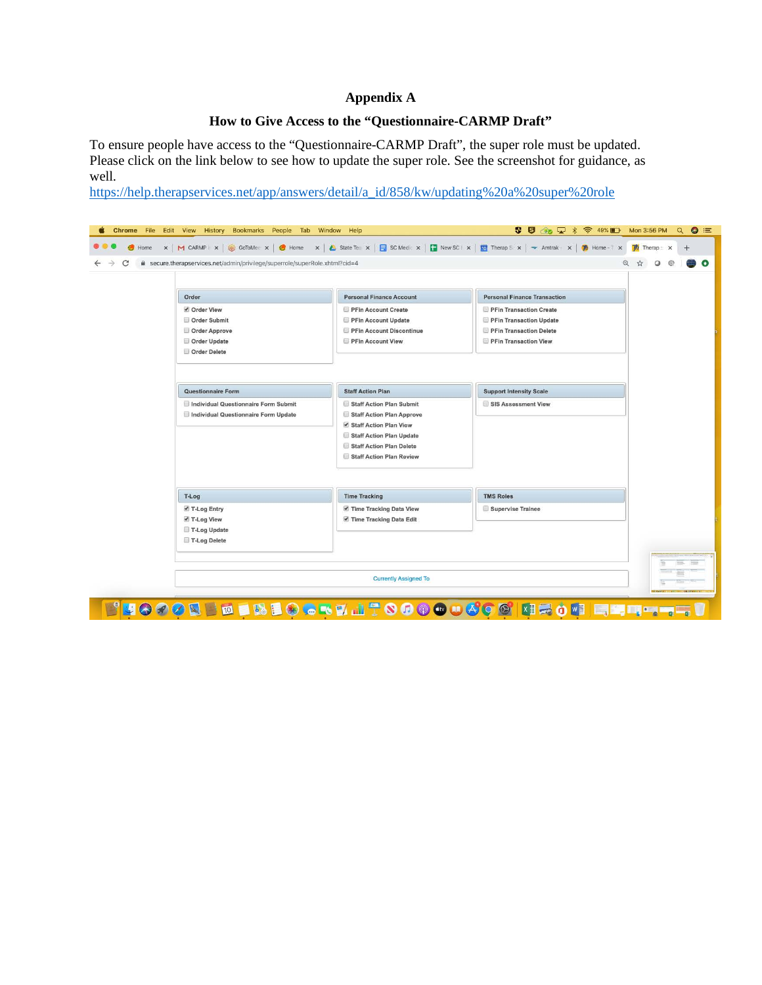# **Appendix A**

## **How to Give Access to the "Questionnaire-CARMP Draft"**

To ensure people have access to the "Questionnaire-CARMP Draft", the super role must be updated. Please click on the link below to see how to update the super role. See the screenshot for guidance, as well.

[https://help.therapservices.net/app/answers/detail/a\\_id/858/kw/updating%20a%20super%20role](https://protect-us.mimecast.com/s/NeVxCyPDN1INByDnTM0u3M?domain=help.therapservices.net)

| ecure.therapservices.net/admin/privilege/superrole/superRole.xhtml?cid=4 |                                                     |                                     | $^{\circ}$ |
|--------------------------------------------------------------------------|-----------------------------------------------------|-------------------------------------|------------|
| Order                                                                    | <b>Personal Finance Account</b>                     | <b>Personal Finance Transaction</b> |            |
| ✔ Order View                                                             | PFin Account Create                                 | PFin Transaction Create             |            |
| Order Submit                                                             | PFin Account Update                                 | PFin Transaction Update             |            |
| Order Approve                                                            | PFin Account Discontinue                            | PFin Transaction Delete             |            |
| Order Update                                                             | PFin Account View                                   | PFin Transaction View               |            |
| Order Delete                                                             |                                                     |                                     |            |
| Questionnaire Form                                                       | <b>Staff Action Plan</b>                            | <b>Support Intensity Scale</b>      |            |
|                                                                          |                                                     |                                     |            |
| Individual Questionnaire Form Submit                                     | Staff Action Plan Submit                            | SIS Assessment View                 |            |
| Individual Questionnaire Form Update                                     | Staff Action Plan Approve<br>Staff Action Plan View |                                     |            |
|                                                                          | Staff Action Plan Update                            |                                     |            |
|                                                                          | Staff Action Plan Delete                            |                                     |            |
|                                                                          | Staff Action Plan Review                            |                                     |            |
|                                                                          |                                                     |                                     |            |
| T-Log                                                                    | <b>Time Tracking</b>                                | <b>TMS Roles</b>                    |            |
| ■ T-Log Entry                                                            | Time Tracking Data View                             | Supervise Trainee                   |            |
| ✔ T-Log View                                                             | Time Tracking Data Edit                             |                                     |            |
| T-Log Update                                                             |                                                     |                                     |            |
| T-Log Delete                                                             |                                                     |                                     |            |
|                                                                          |                                                     |                                     |            |
|                                                                          |                                                     | <b>Currently Assigned To</b>        |            |